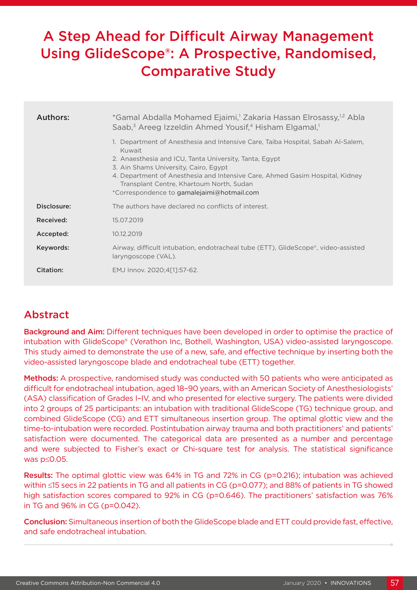# A Step Ahead for Difficult Airway Management Using GlideScope®: A Prospective, Randomised, Comparative Study

| Authors:    | *Gamal Abdalla Mohamed Ejaimi, <sup>1</sup> Zakaria Hassan Elrosassy, <sup>1,2</sup> Abla<br>Saab, <sup>3</sup> Areeg Izzeldin Ahmed Yousif, <sup>4</sup> Hisham Elgamal, <sup>1</sup>                                                                                                                                                                                 |  |  |  |  |
|-------------|------------------------------------------------------------------------------------------------------------------------------------------------------------------------------------------------------------------------------------------------------------------------------------------------------------------------------------------------------------------------|--|--|--|--|
|             | 1. Department of Anesthesia and Intensive Care, Taiba Hospital, Sabah Al-Salem,<br>Kuwait<br>2. Anaesthesia and ICU, Tanta University, Tanta, Egypt<br>3. Ain Shams University, Cairo, Egypt<br>4. Department of Anesthesia and Intensive Care, Ahmed Gasim Hospital, Kidney<br>Transplant Centre, Khartoum North, Sudan<br>*Correspondence to gamalejaimi@hotmail.com |  |  |  |  |
| Disclosure: | The authors have declared no conflicts of interest.                                                                                                                                                                                                                                                                                                                    |  |  |  |  |
| Received:   | 15.07.2019                                                                                                                                                                                                                                                                                                                                                             |  |  |  |  |
| Accepted:   | 10.12.2019                                                                                                                                                                                                                                                                                                                                                             |  |  |  |  |
| Keywords:   | Airway, difficult intubation, endotracheal tube (ETT), GlideScope®, video-assisted<br>laryngoscope (VAL).                                                                                                                                                                                                                                                              |  |  |  |  |
| Citation:   | EMJ Innov. 2020;4[1]:57-62.                                                                                                                                                                                                                                                                                                                                            |  |  |  |  |

## Abstract

Background and Aim: Different techniques have been developed in order to optimise the practice of intubation with GlideScope® (Verathon Inc, Bothell, Washington, USA) video-assisted laryngoscope. This study aimed to demonstrate the use of a new, safe, and effective technique by inserting both the video-assisted laryngoscope blade and endotracheal tube (ETT) together.

Methods: A prospective, randomised study was conducted with 50 patients who were anticipated as difficult for endotracheal intubation, aged 18–90 years, with an American Society of Anesthesiologists' (ASA) classification of Grades I–IV, and who presented for elective surgery. The patients were divided into 2 groups of 25 participants: an intubation with traditional GlideScope (TG) technique group, and combined GlideScope (CG) and ETT simultaneous insertion group. The optimal glottic view and the time-to-intubation were recorded. Postintubation airway trauma and both practitioners' and patients' satisfaction were documented. The categorical data are presented as a number and percentage and were subjected to Fisher's exact or Chi-square test for analysis. The statistical significance was p≤0.05.

Results: The optimal glottic view was 64% in TG and 72% in CG (p=0.216); intubation was achieved within ≤15 secs in 22 patients in TG and all patients in CG (p=0.077); and 88% of patients in TG showed high satisfaction scores compared to 92% in CG (p=0.646). The practitioners' satisfaction was 76% in TG and 96% in CG (p=0.042).

Conclusion: Simultaneous insertion of both the GlideScope blade and ETT could provide fast, effective, and safe endotracheal intubation.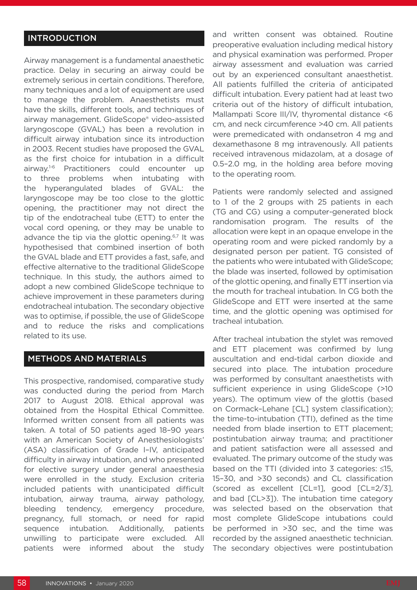## INTRODUCTION

Airway management is a fundamental anaesthetic practice. Delay in securing an airway could be extremely serious in certain conditions. Therefore, many techniques and a lot of equipment are used to manage the problem. Anaesthetists must have the skills, different tools, and techniques of airway management. GlideScope® video-assisted laryngoscope (GVAL) has been a revolution in difficult airway intubation since its introduction in 2003. Recent studies have proposed the GVAL as the first choice for intubation in a difficult airway.<sup>1-6</sup> Practitioners could encounter up to three problems when intubating with the hyperangulated blades of GVAL: the laryngoscope may be too close to the glottic opening, the practitioner may not direct the tip of the endotracheal tube (ETT) to enter the vocal cord opening, or they may be unable to advance the tip via the glottic opening.<sup>6,7</sup> It was hypothesised that combined insertion of both the GVAL blade and ETT provides a fast, safe, and effective alternative to the traditional GlideScope technique. In this study, the authors aimed to adopt a new combined GlideScope technique to achieve improvement in these parameters during endotracheal intubation. The secondary objective was to optimise, if possible, the use of GlideScope and to reduce the risks and complications related to its use.

## METHODS AND MATERIALS

This prospective, randomised, comparative study was conducted during the period from March 2017 to August 2018. Ethical approval was obtained from the Hospital Ethical Committee. Informed written consent from all patients was taken. A total of 50 patients aged 18–90 years with an American Society of Anesthesiologists' (ASA) classification of Grade I–IV, anticipated difficulty in airway intubation, and who presented for elective surgery under general anaesthesia were enrolled in the study. Exclusion criteria included patients with unanticipated difficult intubation, airway trauma, airway pathology, bleeding tendency, emergency procedure, pregnancy, full stomach, or need for rapid sequence intubation. Additionally, patients unwilling to participate were excluded. All patients were informed about the study

and written consent was obtained. Routine preoperative evaluation including medical history and physical examination was performed. Proper airway assessment and evaluation was carried out by an experienced consultant anaesthetist. All patients fulfilled the criteria of anticipated difficult intubation. Every patient had at least two criteria out of the history of difficult intubation, Mallampati Score III/IV, thyromental distance <6 cm, and neck circumference >40 cm. All patients were premedicated with ondansetron 4 mg and dexamethasone 8 mg intravenously. All patients received intravenous midazolam, at a dosage of 0.5–2.0 mg, in the holding area before moving to the operating room.

Patients were randomly selected and assigned to 1 of the 2 groups with 25 patients in each (TG and CG) using a computer-generated block randomisation program. The results of the allocation were kept in an opaque envelope in the operating room and were picked randomly by a designated person per patient. TG consisted of the patients who were intubated with GlideScope; the blade was inserted, followed by optimisation of the glottic opening, and finally ETT insertion via the mouth for tracheal intubation. In CG both the GlideScope and ETT were inserted at the same time, and the glottic opening was optimised for tracheal intubation.

After tracheal intubation the stylet was removed and ETT placement was confirmed by lung auscultation and end-tidal carbon dioxide and secured into place. The intubation procedure was performed by consultant anaesthetists with sufficient experience in using GlideScope (>10 years). The optimum view of the glottis (based on Cormack–Lehane [CL] system classification); the time-to-intubation (TTI), defined as the time needed from blade insertion to ETT placement; postintubation airway trauma; and practitioner and patient satisfaction were all assessed and evaluated. The primary outcome of the study was based on the TTI (divided into 3 categories: ≤15, 15–30, and >30 seconds) and CL classification (scored as excellent [CL=1], good [CL=2/3], and bad [CL>3]). The intubation time category was selected based on the observation that most complete GlideScope intubations could be performed in >30 sec, and the time was recorded by the assigned anaesthetic technician. The secondary objectives were postintubation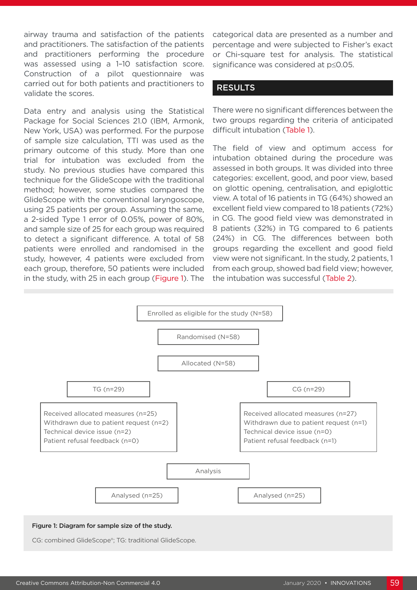airway trauma and satisfaction of the patients and practitioners. The satisfaction of the patients and practitioners performing the procedure was assessed using a 1–10 satisfaction score. Construction of a pilot questionnaire was carried out for both patients and practitioners to validate the scores.

Data entry and analysis using the Statistical Package for Social Sciences 21.0 (IBM, Armonk, New York, USA) was performed. For the purpose of sample size calculation, TTI was used as the primary outcome of this study. More than one trial for intubation was excluded from the study. No previous studies have compared this technique for the GlideScope with the traditional method; however, some studies compared the GlideScope with the conventional laryngoscope, using 25 patients per group. Assuming the same, a 2-sided Type 1 error of 0.05%, power of 80%, and sample size of 25 for each group was required to detect a significant difference. A total of 58 patients were enrolled and randomised in the study, however, 4 patients were excluded from each group, therefore, 50 patients were included in the study, with 25 in each group (Figure 1). The

categorical data are presented as a number and percentage and were subjected to Fisher's exact or Chi-square test for analysis. The statistical significance was considered at p≤0.05.

### RESULTS

There were no significant differences between the two groups regarding the criteria of anticipated difficult intubation (Table 1).

The field of view and optimum access for intubation obtained during the procedure was assessed in both groups. It was divided into three categories: excellent, good, and poor view, based on glottic opening, centralisation, and epiglottic view. A total of 16 patients in TG (64%) showed an excellent field view compared to 18 patients (72%) in CG. The good field view was demonstrated in 8 patients (32%) in TG compared to 6 patients (24%) in CG. The differences between both groups regarding the excellent and good field view were not significant. In the study, 2 patients, 1 from each group, showed bad field view; however, the intubation was successful (Table 2).



#### Figure 1: Diagram for sample size of the study.

CG: combined GlideScope®; TG: traditional GlideScope.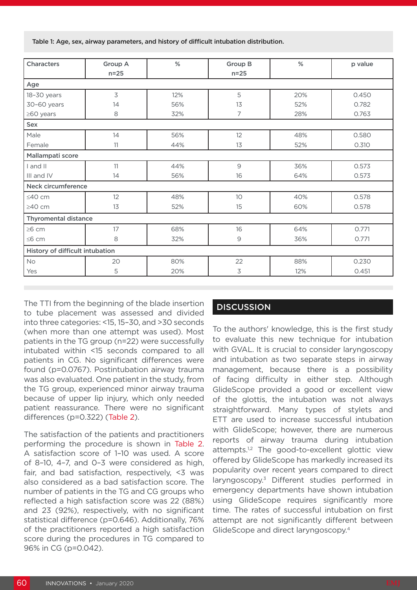Table 1: Age, sex, airway parameters, and history of difficult intubation distribution.

| <b>Characters</b>               | Group A<br>$n=25$ | $\%$ | <b>Group B</b><br>$n=25$ | %   | p value |  |  |  |
|---------------------------------|-------------------|------|--------------------------|-----|---------|--|--|--|
| Age                             |                   |      |                          |     |         |  |  |  |
| 18-30 years                     | $\overline{3}$    | 12%  | 5                        | 20% | 0.450   |  |  |  |
| 30-60 years                     | 14                | 56%  | 13                       | 52% | 0.782   |  |  |  |
| $\geq 60$ years                 | 8                 | 32%  | 7                        | 28% | 0.763   |  |  |  |
| Sex                             |                   |      |                          |     |         |  |  |  |
| Male                            | 14                | 56%  | 12                       | 48% | 0.580   |  |  |  |
| Female                          | 11                | 44%  | 13                       | 52% | 0.310   |  |  |  |
| Mallampati score                |                   |      |                          |     |         |  |  |  |
| I and II                        | 11                | 44%  | $\mathcal{G}$            | 36% | 0.573   |  |  |  |
| III and IV                      | 14                | 56%  | 16                       | 64% | 0.573   |  |  |  |
| Neck circumference              |                   |      |                          |     |         |  |  |  |
| $≤40$ cm                        | 12                | 48%  | 10 <sup>°</sup>          | 40% | 0.578   |  |  |  |
| ≥40 cm                          | 13                | 52%  | 15                       | 60% | 0.578   |  |  |  |
| <b>Thyromental distance</b>     |                   |      |                          |     |         |  |  |  |
| $\geq 6$ cm                     | 17                | 68%  | 16                       | 64% | 0.771   |  |  |  |
| $\leq 6$ cm                     | 8                 | 32%  | $\mathsf{9}$             | 36% | 0.771   |  |  |  |
| History of difficult intubation |                   |      |                          |     |         |  |  |  |
| No                              | 20                | 80%  | 22                       | 88% | 0.230   |  |  |  |
| Yes                             | 5                 | 20%  | 3                        | 12% | 0.451   |  |  |  |

The TTI from the beginning of the blade insertion to tube placement was assessed and divided into three categories: <15, 15–30, and >30 seconds (when more than one attempt was used). Most patients in the TG group (n=22) were successfully intubated within <15 seconds compared to all patients in CG. No significant differences were found (p=0.0767). Postintubation airway trauma was also evaluated. One patient in the study, from the TG group, experienced minor airway trauma because of upper lip injury, which only needed patient reassurance. There were no significant differences (p=0.322) (Table 2).

The satisfaction of the patients and practitioners performing the procedure is shown in Table 2. A satisfaction score of 1–10 was used. A score of 8–10, 4–7, and 0–3 were considered as high, fair, and bad satisfaction, respectively, <3 was also considered as a bad satisfaction score. The number of patients in the TG and CG groups who reflected a high satisfaction score was 22 (88%) and 23 (92%), respectively, with no significant statistical difference (p=0.646). Additionally, 76% of the practitioners reported a high satisfaction score during the procedures in TG compared to 96% in CG (p=0.042).

## **DISCUSSION**

To the authors' knowledge, this is the first study to evaluate this new technique for intubation with GVAL. It is crucial to consider laryngoscopy and intubation as two separate steps in airway management, because there is a possibility of facing difficulty in either step. Although GlideScope provided a good or excellent view of the glottis, the intubation was not always straightforward. Many types of stylets and ETT are used to increase successful intubation with GlideScope; however, there are numerous reports of airway trauma during intubation attempts.<sup>1,2</sup> The good-to-excellent glottic view offered by GlideScope has markedly increased its popularity over recent years compared to direct laryngoscopy.3 Different studies performed in emergency departments have shown intubation using GlideScope requires significantly more time. The rates of successful intubation on first attempt are not significantly different between GlideScope and direct laryngoscopy.4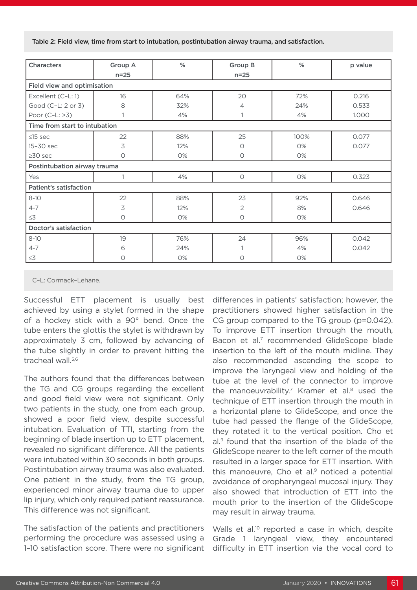Table 2: Field view, time from start to intubation, postintubation airway trauma, and satisfaction.

| <b>Characters</b>             | Group A  | %     | Group B        | $\%$ | p value |  |  |  |  |
|-------------------------------|----------|-------|----------------|------|---------|--|--|--|--|
|                               | $n=25$   |       | $n=25$         |      |         |  |  |  |  |
| Field view and optimisation   |          |       |                |      |         |  |  |  |  |
| Excellent (C-L: 1)            | 16       | 64%   | 20             | 72%  | 0.216   |  |  |  |  |
| Good (C-L: 2 or 3)            | 8        | 32%   | 4              | 24%  | 0.533   |  |  |  |  |
| Poor (C-L: >3)                |          | 4%    |                | 4%   | 1.000   |  |  |  |  |
| Time from start to intubation |          |       |                |      |         |  |  |  |  |
| $\leq$ 15 sec                 | 22       | 88%   | 25             | 100% | 0.077   |  |  |  |  |
| 15-30 sec                     | 3        | 12%   | O              | 0%   | 0.077   |  |  |  |  |
| $\geq$ 30 sec                 | $\circ$  | 0%    | O              | 0%   |         |  |  |  |  |
| Postintubation airway trauma  |          |       |                |      |         |  |  |  |  |
| Yes                           |          | 4%    | $\bigcirc$     | 0%   | 0.323   |  |  |  |  |
| <b>Patient's satisfaction</b> |          |       |                |      |         |  |  |  |  |
| $8 - 10$                      | 22       | 88%   | 23             | 92%  | 0.646   |  |  |  |  |
| $4 - 7$                       | 3        | 12%   | $\overline{2}$ | 8%   | 0.646   |  |  |  |  |
| $\leq 3$                      | $\circ$  | $O\%$ | $\circ$        | 0%   |         |  |  |  |  |
| <b>Doctor's satisfaction</b>  |          |       |                |      |         |  |  |  |  |
| $8-10$                        | 19       | 76%   | 24             | 96%  | 0.042   |  |  |  |  |
| $4 - 7$                       | 6        | 24%   |                | 4%   | 0.042   |  |  |  |  |
| $\leq$ 3                      | $\Omega$ | 0%    | $\circ$        | 0%   |         |  |  |  |  |

C–L: Cormack–Lehane.

Successful ETT placement is usually best achieved by using a stylet formed in the shape of a hockey stick with a 90° bend. Once the tube enters the glottis the stylet is withdrawn by approximately 3 cm, followed by advancing of the tube slightly in order to prevent hitting the tracheal wall.<sup>5,6</sup>

The authors found that the differences between the TG and CG groups regarding the excellent and good field view were not significant. Only two patients in the study, one from each group, showed a poor field view, despite successful intubation. Evaluation of TTI, starting from the beginning of blade insertion up to ETT placement, revealed no significant difference. All the patients were intubated within 30 seconds in both groups. Postintubation airway trauma was also evaluated. One patient in the study, from the TG group, experienced minor airway trauma due to upper lip injury, which only required patient reassurance. This difference was not significant.

The satisfaction of the patients and practitioners performing the procedure was assessed using a 1–10 satisfaction score. There were no significant differences in patients' satisfaction; however, the practitioners showed higher satisfaction in the CG group compared to the TG group (p=0.042). To improve ETT insertion through the mouth, Bacon et al.<sup>7</sup> recommended GlideScope blade insertion to the left of the mouth midline. They also recommended ascending the scope to improve the laryngeal view and holding of the tube at the level of the connector to improve the manoeuvrability.<sup>7</sup> Kramer et al.<sup>8</sup> used the technique of ETT insertion through the mouth in a horizontal plane to GlideScope, and once the tube had passed the flange of the GlideScope, they rotated it to the vertical position. Cho et al.9 found that the insertion of the blade of the GlideScope nearer to the left corner of the mouth resulted in a larger space for ETT insertion. With this manoeuvre, Cho et al. $9$  noticed a potential avoidance of oropharyngeal mucosal injury. They also showed that introduction of ETT into the mouth prior to the insertion of the GlideScope may result in airway trauma.

Walls et al.<sup>10</sup> reported a case in which, despite Grade 1 laryngeal view, they encountered difficulty in ETT insertion via the vocal cord to